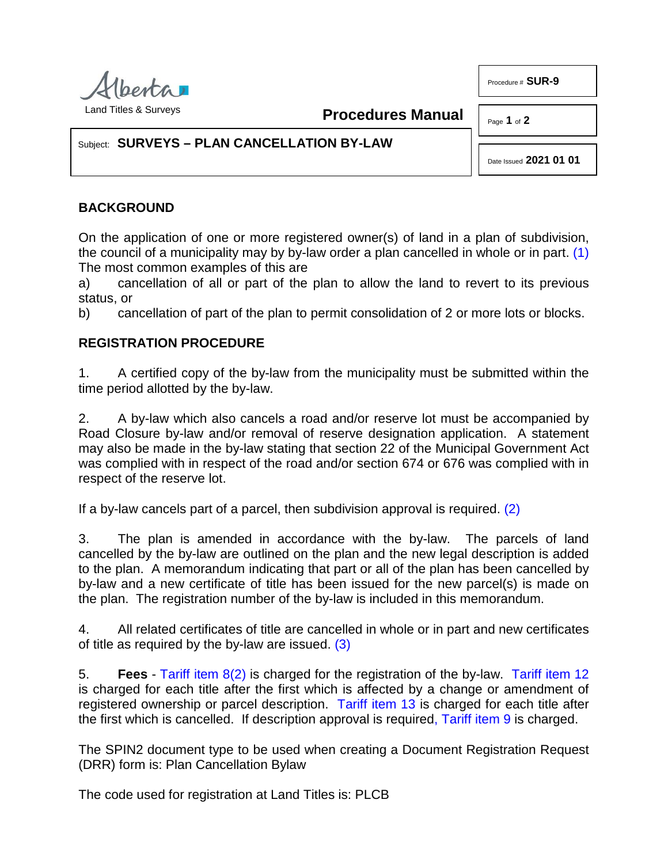

**Procedures Manual**

Page **1** of **2**

Procedure # **SUR-9**

## Subject: **SURVEYS – PLAN CANCELLATION BY-LAW**

<span id="page-0-1"></span><span id="page-0-0"></span>Date Issued **2021 01 01**

## **BACKGROUND**

On the application of one or more registered owner(s) of land in a plan of subdivision, the council of a municipality may by by-law order a plan cancelled in whole or in part. [\(1\)](#page-1-0)  The most common examples of this are

a) cancellation of all or part of the plan to allow the land to revert to its previous status, or

b) cancellation of part of the plan to permit consolidation of 2 or more lots or blocks.

## **REGISTRATION PROCEDURE**

1. A certified copy of the by-law from the municipality must be submitted within the time period allotted by the by-law.

2. A by-law which also cancels a road and/or reserve lot must be accompanied by Road Closure by-law and/or removal of reserve designation application. A statement may also be made in the by-law stating that section 22 of the Municipal Government Act was complied with in respect of the road and/or section 674 or 676 was complied with in respect of the reserve lot.

If a by-law cancels part of a parcel, then subdivision approval is required. [\(2\)](#page-1-1)

3. The plan is amended in accordance with the by-law. The parcels of land cancelled by the by-law are outlined on the plan and the new legal description is added to the plan. A memorandum indicating that part or all of the plan has been cancelled by by-law and a new certificate of title has been issued for the new parcel(s) is made on the plan. The registration number of the by-law is included in this memorandum.

<span id="page-0-2"></span>4. All related certificates of title are cancelled in whole or in part and new certificates of title as required by the by-law are issued. [\(3\)](#page-1-2)

5. **Fees** - [Tariff item 8\(2\)](http://www.servicealberta.ca/pdf/ltmanual/APPENDIXI.PDF) is charged for the registration of the by-law. [Tariff item 12](http://www.servicealberta.ca/pdf/ltmanual/APPENDIXI.PDF) is charged for each title after the first which is affected by a change or amendment of registered ownership or parcel description. [Tariff item 13](http://www.servicealberta.ca/pdf/ltmanual/APPENDIXI.PDF) is charged for each title after the first which is cancelled. If description approval is require[d, Tariff item 9](http://www.servicealberta.ca/pdf/ltmanual/APPENDIXI.PDF) is charged.

The SPIN2 document type to be used when creating a Document Registration Request (DRR) form is: Plan Cancellation Bylaw

The code used for registration at Land Titles is: PLCB